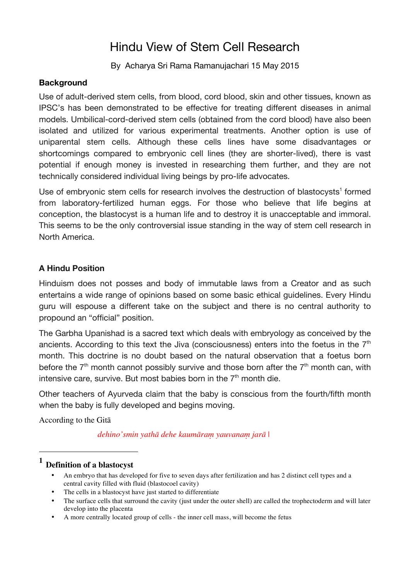# Hindu View of Stem Cell Research

By Acharya Sri Rama Ramanujachari 15 May 2015

#### **Background**

Use of adult-derived stem cells, from blood, cord blood, skin and other tissues, known as IPSC's has been demonstrated to be effective for treating different diseases in animal models. Umbilical-cord-derived stem cells (obtained from the cord blood) have also been isolated and utilized for various experimental treatments. Another option is use of uniparental stem cells. Although these cells lines have some disadvantages or shortcomings compared to embryonic cell lines (they are shorter-lived), there is vast potential if enough money is invested in researching them further, and they are not technically considered individual living beings by pro-life advocates.

Use of embryonic stem cells for research involves the destruction of blastocysts<sup>1</sup> formed from laboratory-fertilized human eggs. For those who believe that life begins at conception, the blastocyst is a human life and to destroy it is unacceptable and immoral. This seems to be the only controversial issue standing in the way of stem cell research in North America.

### **A Hindu Position**

Hinduism does not posses and body of immutable laws from a Creator and as such entertains a wide range of opinions based on some basic ethical guidelines. Every Hindu guru will espouse a different take on the subject and there is no central authority to propound an "official" position.

The Garbha Upanishad is a sacred text which deals with embryology as conceived by the ancients. According to this text the Jiva (consciousness) enters into the foetus in the  $7<sup>th</sup>$ month. This doctrine is no doubt based on the natural observation that a foetus born before the  $7<sup>th</sup>$  month cannot possibly survive and those born after the  $7<sup>th</sup>$  month can, with intensive care, survive. But most babies born in the  $7<sup>th</sup>$  month die.

Other teachers of Ayurveda claim that the baby is conscious from the fourth/fifth month when the baby is fully developed and begins moving.

According to the Gitā

 $\overline{a}$ 

*dehino'smin yathā dehe kaumāraṃ yauvanaṃ jarā* |

## **<sup>1</sup> Definition of a blastocyst**

- An embryo that has developed for five to seven days after fertilization and has 2 distinct cell types and a central cavity filled with fluid (blastocoel cavity)
- The cells in a blastocyst have just started to differentiate
- The surface cells that surround the cavity (just under the outer shell) are called the trophectoderm and will later develop into the placenta
- A more centrally located group of cells the inner cell mass, will become the fetus